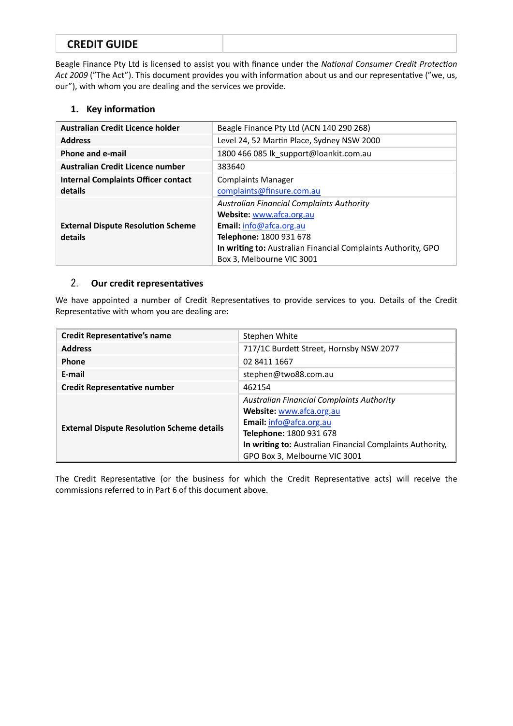# **CREDIT GUIDE**

Beagle Finance Pty Ltd is licensed to assist you with finance under the *National Consumer Credit Protection* Act 2009 ("The Act"). This document provides you with information about us and our representative ("we, us, our"), with whom you are dealing and the services we provide.

### **1.** Key information

| Australian Credit Licence holder                      | Beagle Finance Pty Ltd (ACN 140 290 268)                                                                                                                                                                                         |
|-------------------------------------------------------|----------------------------------------------------------------------------------------------------------------------------------------------------------------------------------------------------------------------------------|
| <b>Address</b>                                        | Level 24, 52 Martin Place, Sydney NSW 2000                                                                                                                                                                                       |
| Phone and e-mail                                      | 1800 466 085 lk_support@loankit.com.au                                                                                                                                                                                           |
| Australian Credit Licence number                      | 383640                                                                                                                                                                                                                           |
| <b>Internal Complaints Officer contact</b><br>details | <b>Complaints Manager</b><br>complaints@finsure.com.au                                                                                                                                                                           |
| <b>External Dispute Resolution Scheme</b><br>details  | <b>Australian Financial Complaints Authority</b><br>Website: www.afca.org.au<br>Email: info@afca.org.au<br>Telephone: 1800 931 678<br>In writing to: Australian Financial Complaints Authority, GPO<br>Box 3, Melbourne VIC 3001 |

### 2. Our credit representatives

We have appointed a number of Credit Representatives to provide services to you. Details of the Credit Representative with whom you are dealing are:

| <b>Credit Representative's name</b>               | Stephen White                                             |
|---------------------------------------------------|-----------------------------------------------------------|
| <b>Address</b>                                    | 717/1C Burdett Street, Hornsby NSW 2077                   |
| <b>Phone</b>                                      | 02 8411 1667                                              |
| E-mail                                            | stephen@two88.com.au                                      |
| <b>Credit Representative number</b>               | 462154                                                    |
| <b>External Dispute Resolution Scheme details</b> | <b>Australian Financial Complaints Authority</b>          |
|                                                   | Website: www.afca.org.au                                  |
|                                                   | Email: info@afca.org.au                                   |
|                                                   | Telephone: 1800 931 678                                   |
|                                                   | In writing to: Australian Financial Complaints Authority, |
|                                                   | GPO Box 3, Melbourne VIC 3001                             |

The Credit Representative (or the business for which the Credit Representative acts) will receive the commissions referred to in Part 6 of this document above.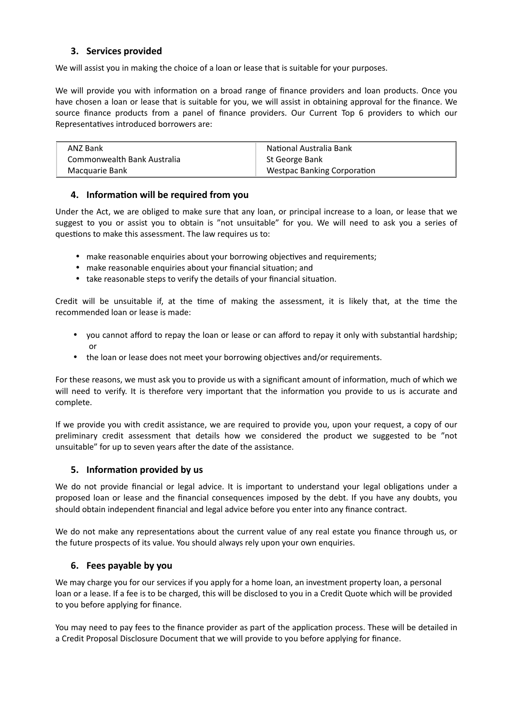### **3. Services provided**

We will assist you in making the choice of a loan or lease that is suitable for your purposes.

We will provide you with information on a broad range of finance providers and loan products. Once you have chosen a loan or lease that is suitable for you, we will assist in obtaining approval for the finance. We source finance products from a panel of finance providers. Our Current Top 6 providers to which our Representatives introduced borrowers are:

| ANZ Bank                    | National Australia Bank            |
|-----------------------------|------------------------------------|
| Commonwealth Bank Australia | St George Bank                     |
| Macquarie Bank              | <b>Westpac Banking Corporation</b> |

### **4.** Information will be required from you

Under the Act, we are obliged to make sure that any loan, or principal increase to a loan, or lease that we suggest to you or assist you to obtain is "not unsuitable" for you. We will need to ask you a series of questions to make this assessment. The law requires us to:

- make reasonable enquiries about your borrowing objectives and requirements:
- make reasonable enquiries about your financial situation; and
- take reasonable steps to verify the details of your financial situation.

Credit will be unsuitable if, at the time of making the assessment, it is likely that, at the time the recommended loan or lease is made:

- you cannot afford to repay the loan or lease or can afford to repay it only with substantial hardship; or
- the loan or lease does not meet your borrowing objectives and/or requirements.

For these reasons, we must ask you to provide us with a significant amount of information, much of which we will need to verify. It is therefore very important that the information you provide to us is accurate and complete. 

If we provide you with credit assistance, we are required to provide you, upon your request, a copy of our preliminary credit assessment that details how we considered the product we suggested to be "not unsuitable" for up to seven years after the date of the assistance.

### **5.** Information provided by us

We do not provide financial or legal advice. It is important to understand your legal obligations under a proposed loan or lease and the financial consequences imposed by the debt. If you have any doubts, you should obtain independent financial and legal advice before you enter into any finance contract.

We do not make any representations about the current value of any real estate you finance through us, or the future prospects of its value. You should always rely upon your own enquiries.

### **6.** Fees payable by you

We may charge you for our services if you apply for a home loan, an investment property loan, a personal loan or a lease. If a fee is to be charged, this will be disclosed to you in a Credit Quote which will be provided to you before applying for finance.

You may need to pay fees to the finance provider as part of the application process. These will be detailed in a Credit Proposal Disclosure Document that we will provide to you before applying for finance.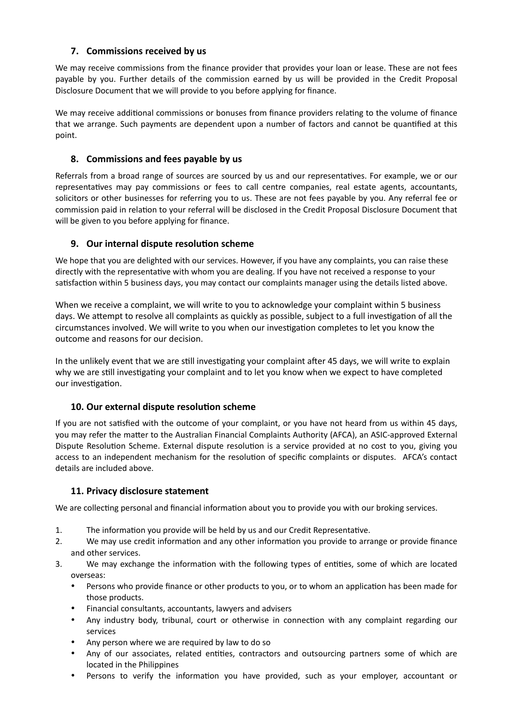# **7.** Commissions received by us

We may receive commissions from the finance provider that provides your loan or lease. These are not fees payable by you. Further details of the commission earned by us will be provided in the Credit Proposal Disclosure Document that we will provide to you before applying for finance.

We may receive additional commissions or bonuses from finance providers relating to the volume of finance that we arrange. Such payments are dependent upon a number of factors and cannot be quantified at this point. 

# **8.** Commissions and fees payable by us

Referrals from a broad range of sources are sourced by us and our representatives. For example, we or our representatives may pay commissions or fees to call centre companies, real estate agents, accountants, solicitors or other businesses for referring you to us. These are not fees payable by you. Any referral fee or commission paid in relation to your referral will be disclosed in the Credit Proposal Disclosure Document that will be given to you before applying for finance.

### **9.** Our internal dispute resolution scheme

We hope that you are delighted with our services. However, if you have any complaints, you can raise these directly with the representative with whom you are dealing. If you have not received a response to your satisfaction within 5 business days, you may contact our complaints manager using the details listed above.

When we receive a complaint, we will write to you to acknowledge your complaint within 5 business days. We attempt to resolve all complaints as quickly as possible, subject to a full investigation of all the circumstances involved. We will write to you when our investigation completes to let you know the outcome and reasons for our decision.

In the unlikely event that we are still investigating your complaint after 45 days, we will write to explain why we are still investigating your complaint and to let you know when we expect to have completed our investigation.

### **10. Our external dispute resolution scheme**

If you are not satisfied with the outcome of your complaint, or you have not heard from us within 45 days, you may refer the matter to the Australian Financial Complaints Authority (AFCA), an ASIC-approved External Dispute Resolution Scheme. External dispute resolution is a service provided at no cost to you, giving you access to an independent mechanism for the resolution of specific complaints or disputes. AFCA's contact details are included above.

### **11. Privacy disclosure statement**

We are collecting personal and financial information about you to provide you with our broking services.

- 1. The information you provide will be held by us and our Credit Representative.
- 2. We may use credit information and any other information you provide to arrange or provide finance and other services.
- 3. We may exchange the information with the following types of entities, some of which are located overseas:
	- Persons who provide finance or other products to you, or to whom an application has been made for those products.
	- Financial consultants, accountants, lawyers and advisers
	- Any industry body, tribunal, court or otherwise in connection with any complaint regarding our services
	- Any person where we are required by law to do so
	- Any of our associates, related entities, contractors and outsourcing partners some of which are located in the Philippines
	- Persons to verify the information you have provided, such as your employer, accountant or